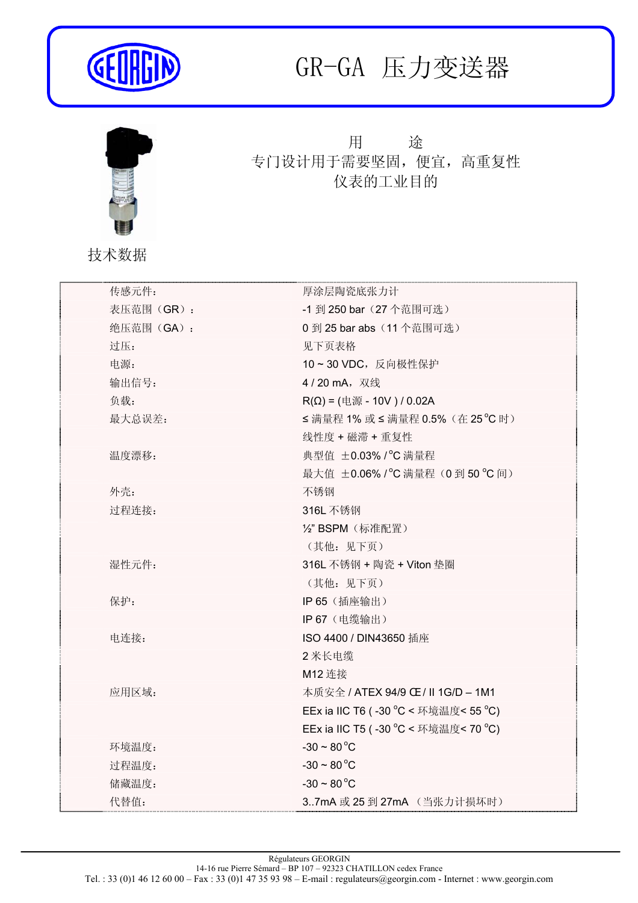

## GR-GA 压力变送器



## 用 途 专门设计用于需要坚固,便宜,高重复性 仪表的工业目的

技术数据

| 传感元件:     | 厚涂层陶瓷底张力计                                        |
|-----------|--------------------------------------------------|
| 表压范围(GR): | -1 到 250 bar (27个范围可选)                           |
| 绝压范围(GA): | 0 到 25 bar abs (11个范围可选)                         |
| 过压:       | 见下页表格                                            |
| 电源:       | 10~30 VDC, 反向极性保护                                |
| 输出信号:     | 4/20 mA, 双线                                      |
| 负载:       | $R(Ω) = ( \n\text{#} \n\text{#} - 10V ) / 0.02A$ |
| 最大总误差:    | ≤满量程 1% 或 ≤ 满量程 0.5% (在 25 ℃ 时)                  |
|           | 线性度 + 磁滞 + 重复性                                   |
| 温度漂移:     | 典型值 ±0.03% / °C 满量程                              |
|           | 最大值 ±0.06% / °C 满量程 (0到50 °C 间)                  |
| 外壳:       | 不锈钢                                              |
| 过程连接:     | 316L 不锈钢                                         |
|           | ½" BSPM (标准配置)                                   |
|           | (其他: 见下页)                                        |
| 湿性元件:     | 316L 不锈钢 + 陶瓷 + Viton 垫圈                         |
|           | (其他: 见下页)                                        |
| 保护:       | IP 65 (插座输出)                                     |
|           | IP 67 (电缆输出)                                     |
| 电连接:      | ISO 4400 / DIN43650 插座                           |
|           | 2米长电缆                                            |
|           | M12 连接                                           |
| 应用区域:     | 本质安全 / ATEX 94/9 CE / II 1G/D - 1M1              |
|           | EEx ia IIC T6 (-30 °C < 环境温度< 55 °C)             |
|           | EEx ia IIC T5 (-30 °C < 环境温度< 70 °C)             |
| 环境温度:     | $-30 \sim 80 °C$                                 |
| 过程温度:     | $-30 \sim 80 °C$                                 |
| 储藏温度:     | $-30 \sim 80 °C$                                 |
| 代替值:      | 37mA 或 25 到 27mA (当张力计损坏时)                       |